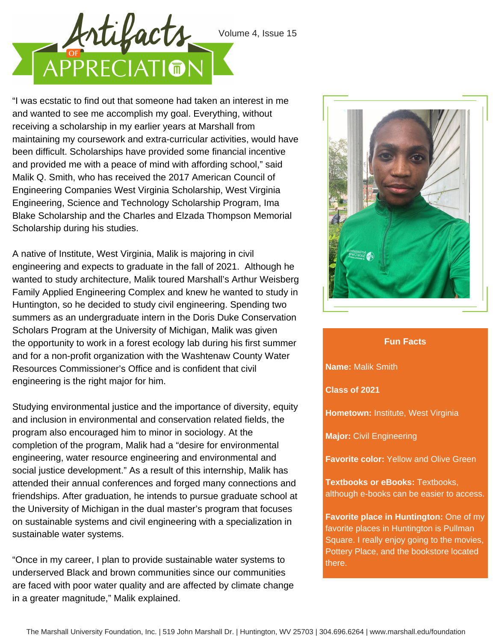

"I was ecstatic to find out that someone had taken an interest in me and wanted to see me accomplish my goal. Everything, without receiving a scholarship in my earlier years at Marshall from maintaining my coursework and extra-curricular activities, would have been difficult. Scholarships have provided some financial incentive and provided me with a peace of mind with affording school," said Malik Q. Smith, who has received the 2017 American Council of Engineering Companies West Virginia Scholarship, West Virginia Engineering, Science and Technology Scholarship Program, Ima Blake Scholarship and the Charles and Elzada Thompson Memorial Scholarship during his studies.

A native of Institute, West Virginia, Malik is majoring in civil engineering and expects to graduate in the fall of 2021. Although he wanted to study architecture, Malik toured Marshall's Arthur Weisberg Family Applied Engineering Complex and knew he wanted to study in Huntington, so he decided to study civil engineering. Spending two summers as an undergraduate intern in the Doris Duke Conservation Scholars Program at the University of Michigan, Malik was given the opportunity to work in a forest ecology lab during his first summer and for a non-profit organization with the Washtenaw County Water Resources Commissioner's Office and is confident that civil engineering is the right major for him.

Studying environmental justice and the importance of diversity, equity and inclusion in environmental and conservation related fields, the program also encouraged him to minor in sociology. At the completion of the program, Malik had a "desire for environmental engineering, water resource engineering and environmental and social justice development." As a result of this internship, Malik has attended their annual conferences and forged many connections and friendships. After graduation, he intends to pursue graduate school at the University of Michigan in the dual master's program that focuses on sustainable systems and civil engineering with a specialization in sustainable water systems.

"Once in my career, I plan to provide sustainable water systems to underserved Black and brown communities since our communities are faced with poor water quality and are affected by climate change in a greater magnitude," Malik explained.



## **Fun Facts**

**Name:** Malik Smith

**Class of 2021**

**Hometown:** Institute, West Virginia

**Major:** Civil Engineering

**Favorite color:** Yellow and Olive Green

**Textbooks or eBooks:** Textbooks, although e-books can be easier to access.

**Favorite place in Huntington:** One of my favorite places in Huntington is Pullman Square. I really enjoy going to the movies, Pottery Place, and the bookstore located there.